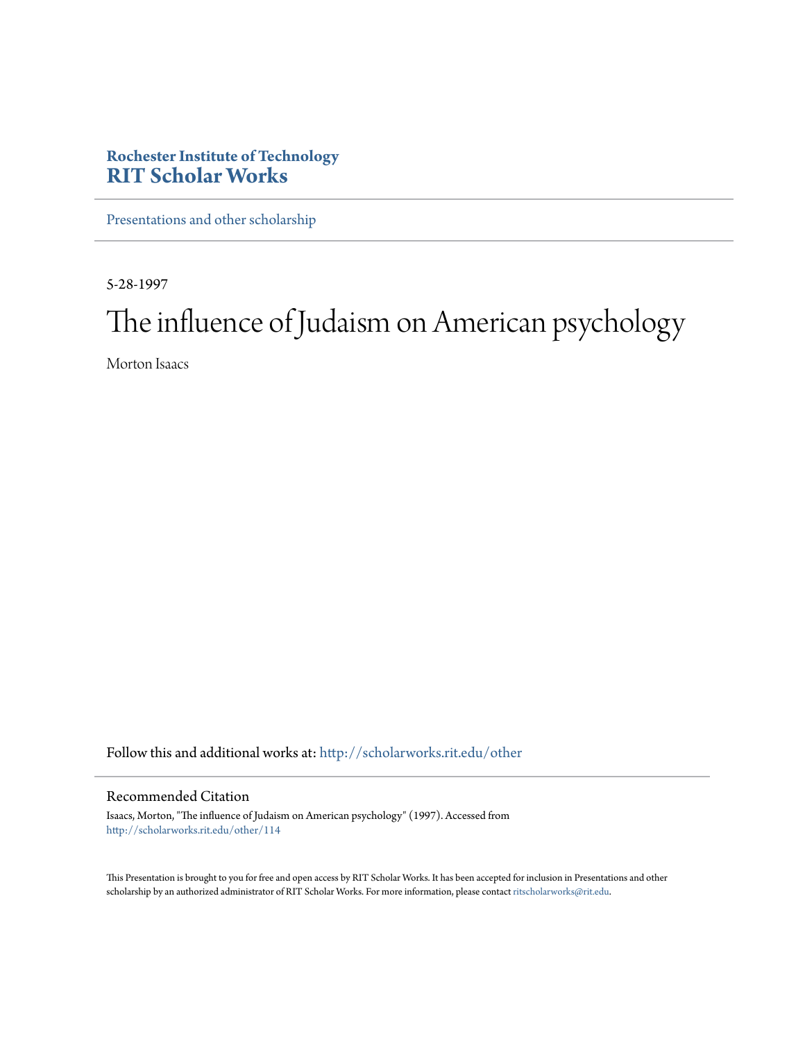## **Rochester Institute of Technology [RIT Scholar Works](http://scholarworks.rit.edu?utm_source=scholarworks.rit.edu%2Fother%2F114&utm_medium=PDF&utm_campaign=PDFCoverPages)**

[Presentations and other scholarship](http://scholarworks.rit.edu/other?utm_source=scholarworks.rit.edu%2Fother%2F114&utm_medium=PDF&utm_campaign=PDFCoverPages)

5-28-1997

# The influence of Judaism on American psychology

Morton Isaacs

Follow this and additional works at: [http://scholarworks.rit.edu/other](http://scholarworks.rit.edu/other?utm_source=scholarworks.rit.edu%2Fother%2F114&utm_medium=PDF&utm_campaign=PDFCoverPages)

#### Recommended Citation

Isaacs, Morton, "The influence of Judaism on American psychology" (1997). Accessed from [http://scholarworks.rit.edu/other/114](http://scholarworks.rit.edu/other/114?utm_source=scholarworks.rit.edu%2Fother%2F114&utm_medium=PDF&utm_campaign=PDFCoverPages)

This Presentation is brought to you for free and open access by RIT Scholar Works. It has been accepted for inclusion in Presentations and other scholarship by an authorized administrator of RIT Scholar Works. For more information, please contact [ritscholarworks@rit.edu](mailto:ritscholarworks@rit.edu).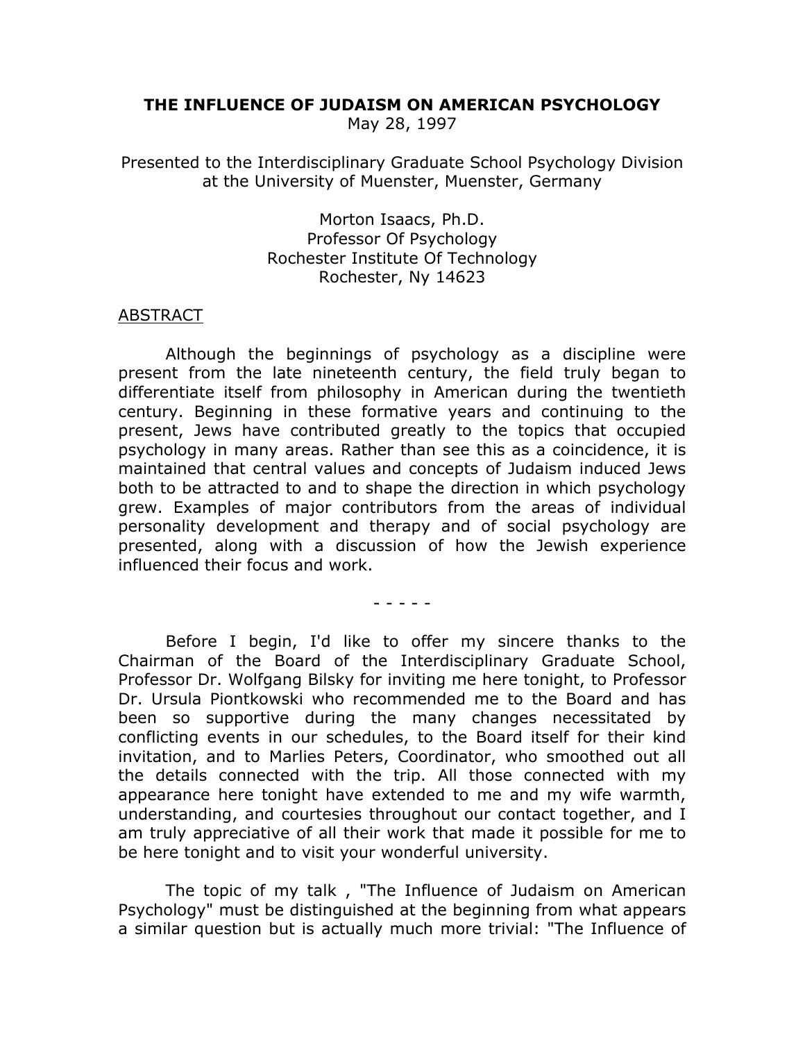#### THE INFLUENCE OF JUDAISM ON AMERICAN PSYCHOLOGY

May 28, 1997

Presented to the Interdisciplinary Graduate School Psychology Division at the University of Muenster, Muenster, Germany

> Morton Isaacs, Ph.D. Professor Of Psychology Rochester Institute Of Technology Rochester, Ny 14623

### **ABSTRACT**

Although the beginnings of psychology as a discipline were present from the late nineteenth century, the field truly began to differentiate itself from philosophy in American during the twentieth century. Beginning in these formative years and continuing to the present, Jews have contributed greatly to the topics that occupied psychology in many areas. Rather than see this as a coincidence, it is maintained that central values and concepts of Judaism induced Jews both to be attracted to and to shape the direction in which psychology grew. Examples of major contributors from the areas of individual personality development and therapy and of social psychology are presented, along with a discussion of how the Jewish experience influenced their focus and work.

 $- - - - - -$ 

Before I begin, I'd like to offer my sincere thanks to the Chairman of the Board of the Interdisciplinary Graduate School, Professor Dr. Wolfgang Bilsky for inviting me here tonight, to Professor Dr. Ursula Piontkowski who recommended me to the Board and has been so supportive during the many changes necessitated by conflicting events in our schedules, to the Board itself for their kind invitation, and to Marlies Peters, Coordinator, who smoothed out all the details connected with the trip. All those connected with my appearance here tonight have extended to me and my wife warmth, understanding, and courtesies throughout our contact together, and I am truly appreciative of all their work that made it possible for me to be here tonight and to visit your wonderful university.

The topic of my talk, "The Influence of Judaism on American Psychology" must be distinguished at the beginning from what appears a similar question but is actually much more trivial: "The Influence of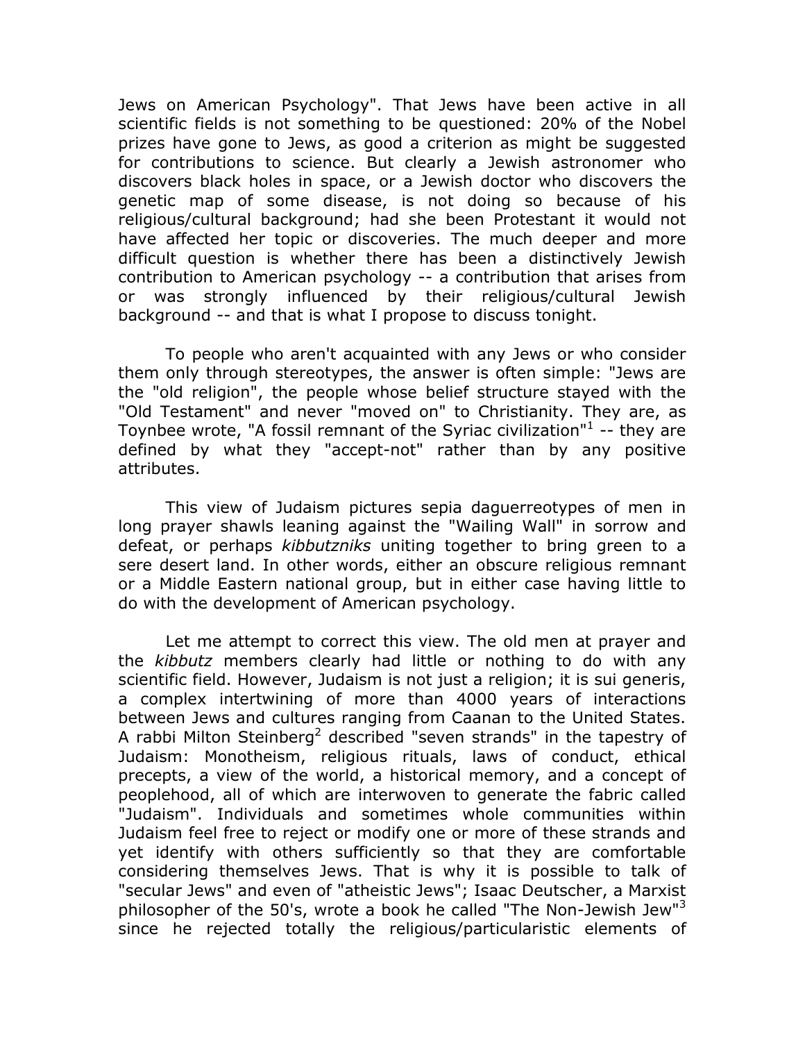Jews on American Psychology". That Jews have been active in all scientific fields is not something to be questioned: 20% of the Nobel prizes have gone to Jews, as good a criterion as might be suggested for contributions to science. But clearly a Jewish astronomer who discovers black holes in space, or a Jewish doctor who discovers the genetic map of some disease, is not doing so because of his religious/cultural background; had she been Protestant it would not have affected her topic or discoveries. The much deeper and more difficult question is whether there has been a distinctively Jewish contribution to American psychology -- a contribution that arises from or was strongly influenced by their religious/cultural Jewish background -- and that is what I propose to discuss tonight.

To people who aren't acquainted with any Jews or who consider them only through stereotypes, the answer is often simple: "Jews are the "old religion", the people whose belief structure stayed with the "Old Testament" and never "moved on" to Christianity. They are, as Toynbee wrote, "A fossil remnant of the Syriac civilization"<sup>1</sup> -- they are defined by what they "accept-not" rather than by any positive attributes.

This view of Judaism pictures sepia daguerreotypes of men in long prayer shawls leaning against the "Wailing Wall" in sorrow and defeat, or perhaps kibbutzniks uniting together to bring green to a sere desert land. In other words, either an obscure religious remnant or a Middle Eastern national group, but in either case having little to do with the development of American psychology.

Let me attempt to correct this view. The old men at prayer and the kibbutz members clearly had little or nothing to do with any scientific field. However, Judaism is not just a religion; it is sui generis, a complex intertwining of more than 4000 years of interactions between Jews and cultures ranging from Caanan to the United States. A rabbi Milton Steinberg<sup>2</sup> described "seven strands" in the tapestry of Judaism: Monotheism, religious rituals, laws of conduct, ethical precepts, a view of the world, a historical memory, and a concept of peoplehood, all of which are interwoven to generate the fabric called "Judaism". Individuals and sometimes whole communities within Judaism feel free to reject or modify one or more of these strands and yet identify with others sufficiently so that they are comfortable considering themselves Jews. That is why it is possible to talk of "secular Jews" and even of "atheistic Jews"; Isaac Deutscher, a Marxist philosopher of the 50's, wrote a book he called "The Non-Jewish Jew"<sup>3</sup> since he rejected totally the religious/particularistic elements of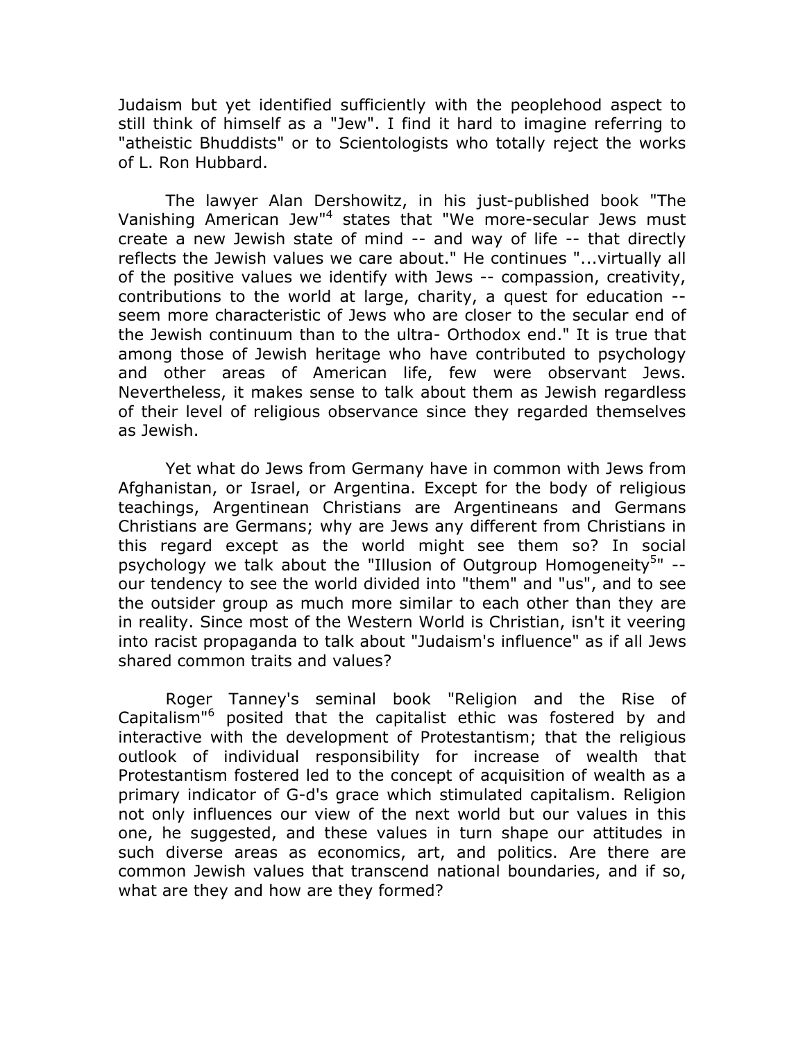Judaism but yet identified sufficiently with the peoplehood aspect to still think of himself as a "Jew". I find it hard to imagine referring to "atheistic Bhuddists" or to Scientologists who totally reject the works of L. Ron Hubbard.

The lawyer Alan Dershowitz, in his just-published book "The Vanishing American Jew"<sup>4</sup> states that "We more-secular Jews must create a new Jewish state of mind -- and way of life -- that directly reflects the Jewish values we care about." He continues "... virtually all of the positive values we identify with Jews -- compassion, creativity, contributions to the world at large, charity, a quest for education -seem more characteristic of Jews who are closer to the secular end of the Jewish continuum than to the ultra- Orthodox end." It is true that among those of Jewish heritage who have contributed to psychology and other areas of American life, few were observant Jews. Nevertheless, it makes sense to talk about them as Jewish regardless of their level of religious observance since they regarded themselves as Jewish.

Yet what do Jews from Germany have in common with Jews from Afghanistan, or Israel, or Argentina. Except for the body of religious teachings, Argentinean Christians are Argentineans and Germans Christians are Germans; why are Jews any different from Christians in this regard except as the world might see them so? In social psychology we talk about the "Illusion of Outgroup Homogeneity<sup>5</sup>" -our tendency to see the world divided into "them" and "us", and to see the outsider group as much more similar to each other than they are in reality. Since most of the Western World is Christian, isn't it veering into racist propaganda to talk about "Judaism's influence" as if all Jews shared common traits and values?

Roger Tanney's seminal book "Religion and the Rise of Capitalism<sup>"6</sup> posited that the capitalist ethic was fostered by and interactive with the development of Protestantism; that the religious outlook of individual responsibility for increase of wealth that Protestantism fostered led to the concept of acquisition of wealth as a primary indicator of G-d's grace which stimulated capitalism. Religion not only influences our view of the next world but our values in this one, he suggested, and these values in turn shape our attitudes in such diverse areas as economics, art, and politics. Are there are common Jewish values that transcend national boundaries, and if so, what are they and how are they formed?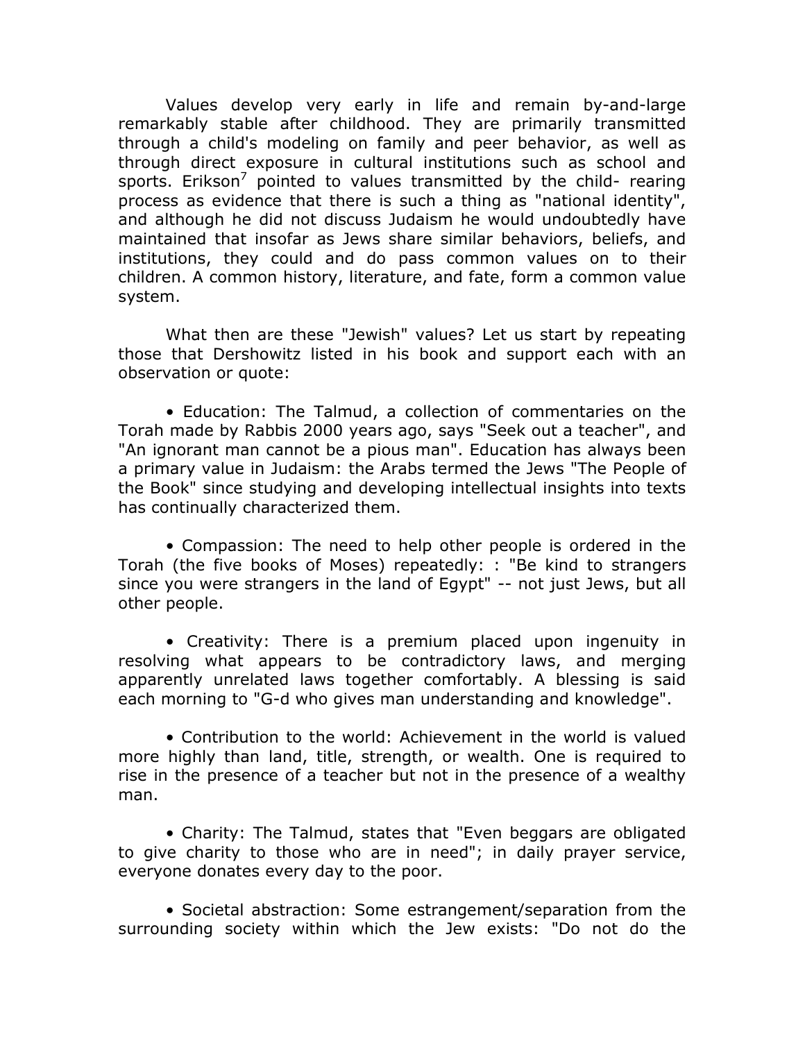Values develop very early in life and remain by-and-large remarkably stable after childhood. They are primarily transmitted through a child's modeling on family and peer behavior, as well as through direct exposure in cultural institutions such as school and sports. Erikson<sup>7</sup> pointed to values transmitted by the child- rearing process as evidence that there is such a thing as "national identity", and although he did not discuss Judaism he would undoubtedly have maintained that insofar as Jews share similar behaviors, beliefs, and institutions, they could and do pass common values on to their children. A common history, literature, and fate, form a common value system.

What then are these "Jewish" values? Let us start by repeating those that Dershowitz listed in his book and support each with an observation or quote:

• Education: The Talmud, a collection of commentaries on the Torah made by Rabbis 2000 years ago, says "Seek out a teacher", and "An ignorant man cannot be a pious man". Education has always been a primary value in Judaism: the Arabs termed the Jews "The People of the Book" since studying and developing intellectual insights into texts has continually characterized them.

• Compassion: The need to help other people is ordered in the Torah (the five books of Moses) repeatedly: : "Be kind to strangers since you were strangers in the land of Egypt" -- not just Jews, but all other people.

• Creativity: There is a premium placed upon ingenuity in resolving what appears to be contradictory laws, and merging apparently unrelated laws together comfortably. A blessing is said each morning to "G-d who gives man understanding and knowledge".

• Contribution to the world: Achievement in the world is valued more highly than land, title, strength, or wealth. One is required to rise in the presence of a teacher but not in the presence of a wealthy man.

• Charity: The Talmud, states that "Even beggars are obligated to give charity to those who are in need"; in daily prayer service, everyone donates every day to the poor.

• Societal abstraction: Some estrangement/separation from the surrounding society within which the Jew exists: "Do not do the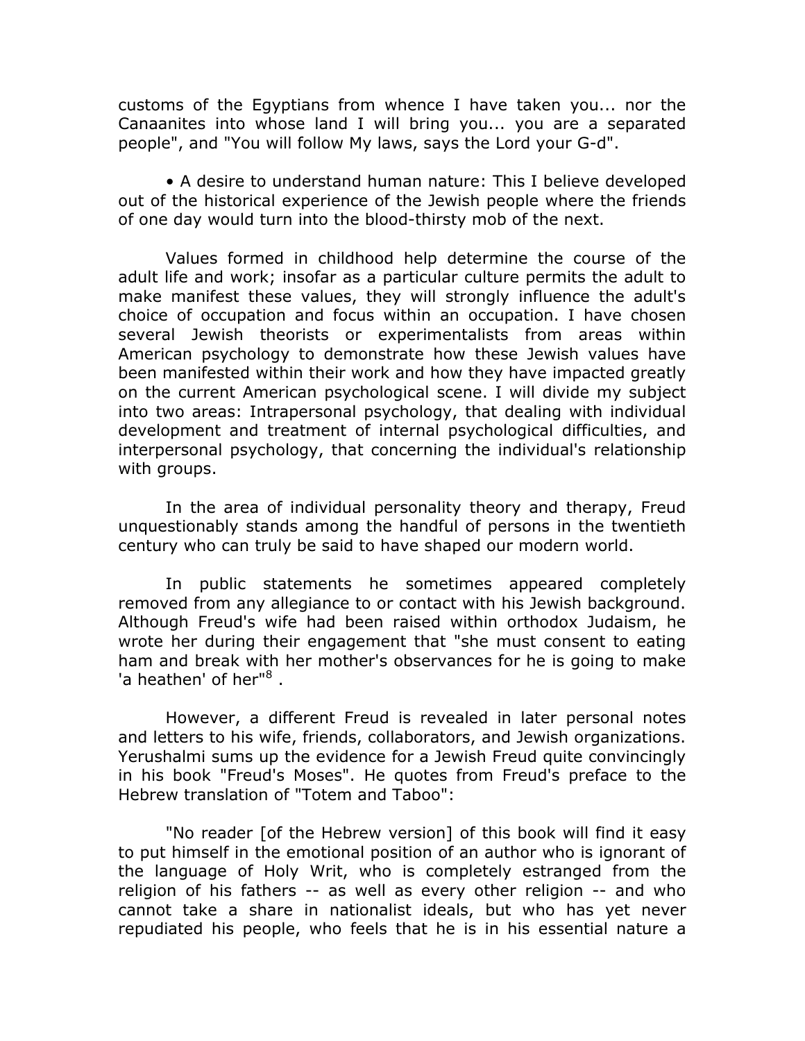customs of the Egyptians from whence I have taken you... nor the Canaanites into whose land I will bring you... you are a separated people", and "You will follow My laws, says the Lord your G-d".

• A desire to understand human nature: This I believe developed out of the historical experience of the Jewish people where the friends of one day would turn into the blood-thirsty mob of the next.

Values formed in childhood help determine the course of the adult life and work; insofar as a particular culture permits the adult to make manifest these values, they will strongly influence the adult's choice of occupation and focus within an occupation. I have chosen several Jewish theorists or experimentalists from areas within American psychology to demonstrate how these Jewish values have been manifested within their work and how they have impacted greatly on the current American psychological scene. I will divide my subject into two areas: Intrapersonal psychology, that dealing with individual development and treatment of internal psychological difficulties, and interpersonal psychology, that concerning the individual's relationship with groups.

In the area of individual personality theory and therapy, Freud unquestionably stands among the handful of persons in the twentieth century who can truly be said to have shaped our modern world.

In public statements he sometimes appeared completely removed from any allegiance to or contact with his Jewish background. Although Freud's wife had been raised within orthodox Judaism, he wrote her during their engagement that "she must consent to eating ham and break with her mother's observances for he is going to make 'a heathen' of her"<sup>8</sup>.

However, a different Freud is revealed in later personal notes and letters to his wife, friends, collaborators, and Jewish organizations. Yerushalmi sums up the evidence for a Jewish Freud quite convincingly in his book "Freud's Moses". He quotes from Freud's preface to the Hebrew translation of "Totem and Taboo":

"No reader [of the Hebrew version] of this book will find it easy to put himself in the emotional position of an author who is ignorant of the language of Holy Writ, who is completely estranged from the religion of his fathers -- as well as every other religion -- and who cannot take a share in nationalist ideals, but who has yet never repudiated his people, who feels that he is in his essential nature a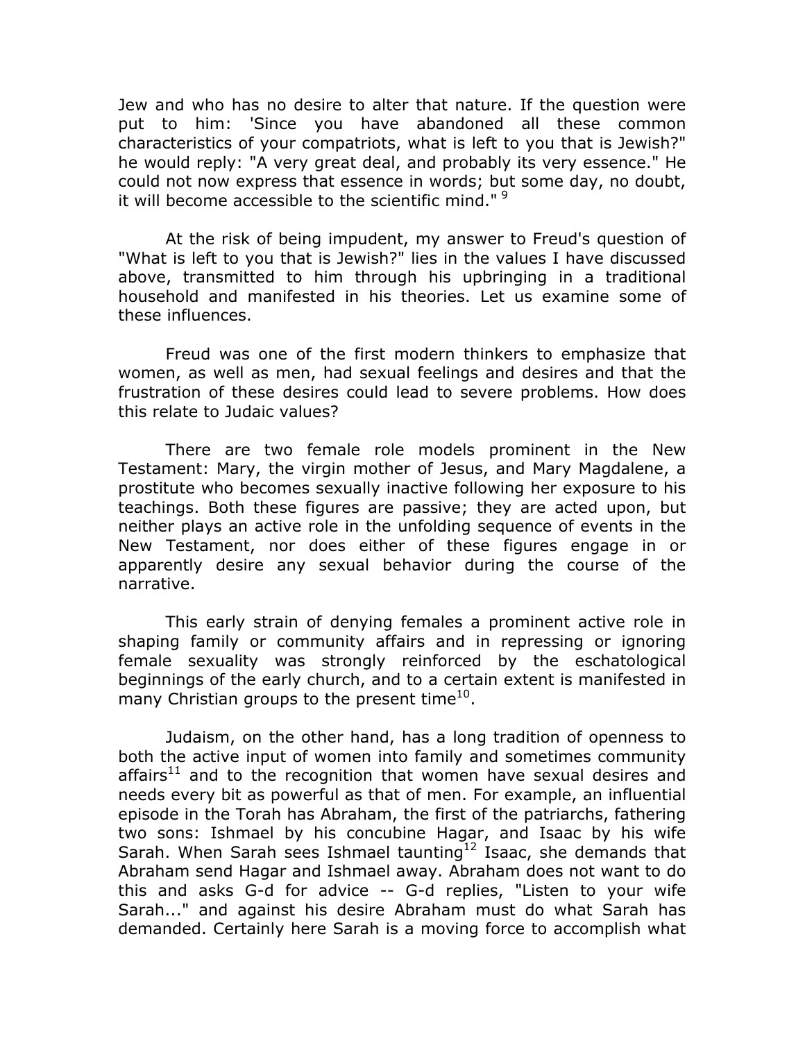Jew and who has no desire to alter that nature. If the question were put to him: 'Since you have abandoned all these common characteristics of your compatriots, what is left to you that is Jewish?" he would reply: "A very great deal, and probably its very essence." He could not now express that essence in words; but some day, no doubt, it will become accessible to the scientific mind." <sup>9</sup>

At the risk of being impudent, my answer to Freud's question of "What is left to you that is Jewish?" lies in the values I have discussed above, transmitted to him through his upbringing in a traditional household and manifested in his theories. Let us examine some of these influences.

Freud was one of the first modern thinkers to emphasize that women, as well as men, had sexual feelings and desires and that the frustration of these desires could lead to severe problems. How does this relate to Judaic values?

There are two female role models prominent in the New Testament: Mary, the virgin mother of Jesus, and Mary Magdalene, a prostitute who becomes sexually inactive following her exposure to his teachings. Both these figures are passive; they are acted upon, but neither plays an active role in the unfolding sequence of events in the New Testament, nor does either of these figures engage in or apparently desire any sexual behavior during the course of the narrative.

This early strain of denying females a prominent active role in shaping family or community affairs and in repressing or ignoring female sexuality was strongly reinforced by the eschatological beginnings of the early church, and to a certain extent is manifested in many Christian groups to the present time<sup>10</sup>.

Judaism, on the other hand, has a long tradition of openness to both the active input of women into family and sometimes community  $affairs<sup>11</sup>$  and to the recognition that women have sexual desires and needs every bit as powerful as that of men. For example, an influential episode in the Torah has Abraham, the first of the patriarchs, fathering two sons: Ishmael by his concubine Hagar, and Isaac by his wife Sarah. When Sarah sees Ishmael taunting<sup>12</sup> Isaac, she demands that Abraham send Hagar and Ishmael away. Abraham does not want to do this and asks G-d for advice -- G-d replies, "Listen to your wife Sarah..." and against his desire Abraham must do what Sarah has demanded. Certainly here Sarah is a moving force to accomplish what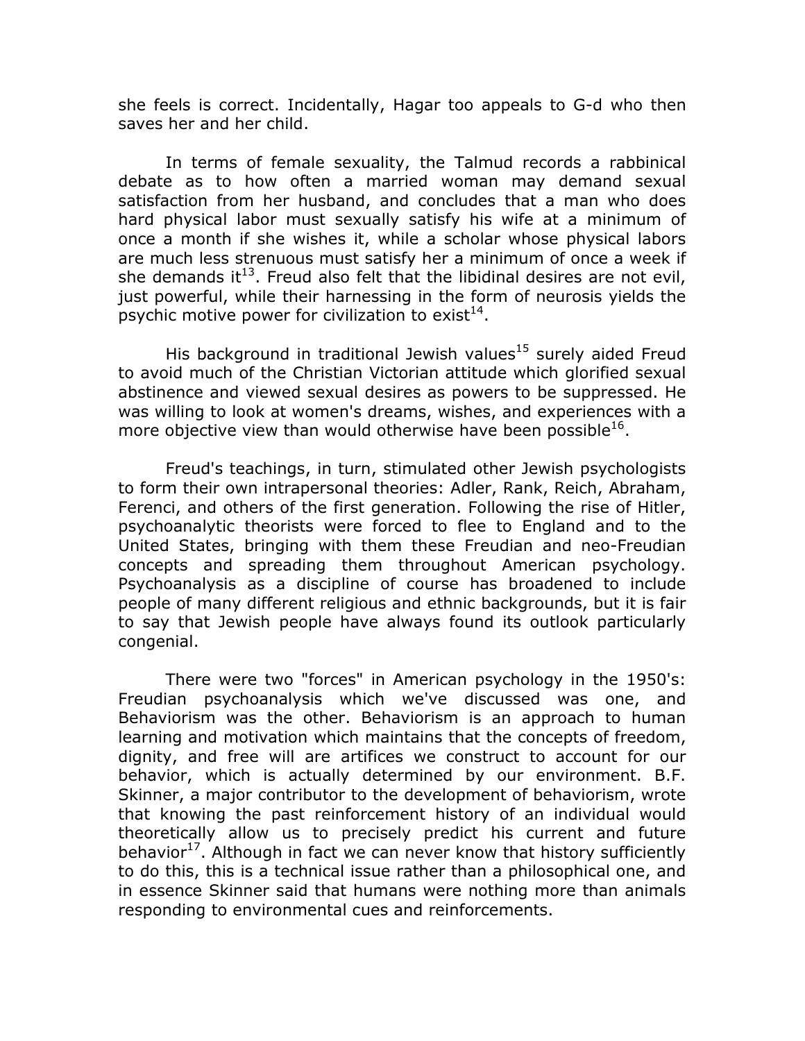she feels is correct. Incidentally, Hagar too appeals to G-d who then saves her and her child.

In terms of female sexuality, the Talmud records a rabbinical debate as to how often a married woman may demand sexual satisfaction from her husband, and concludes that a man who does hard physical labor must sexually satisfy his wife at a minimum of once a month if she wishes it, while a scholar whose physical labors are much less strenuous must satisfy her a minimum of once a week if she demands it<sup>13</sup>. Freud also felt that the libidinal desires are not evil, just powerful, while their harnessing in the form of neurosis yields the psychic motive power for civilization to exist<sup>14</sup>.

His background in traditional Jewish values<sup>15</sup> surely aided Freud to avoid much of the Christian Victorian attitude which glorified sexual abstinence and viewed sexual desires as powers to be suppressed. He was willing to look at women's dreams, wishes, and experiences with a more objective view than would otherwise have been possible<sup>16</sup>.

Freud's teachings, in turn, stimulated other Jewish psychologists to form their own intrapersonal theories: Adler, Rank, Reich, Abraham, Ferenci, and others of the first generation. Following the rise of Hitler, psychoanalytic theorists were forced to flee to England and to the United States, bringing with them these Freudian and neo-Freudian concepts and spreading them throughout American psychology. Psychoanalysis as a discipline of course has broadened to include people of many different religious and ethnic backgrounds, but it is fair to say that Jewish people have always found its outlook particularly congenial.

There were two "forces" in American psychology in the 1950's: Freudian psychoanalysis which we've discussed was one, and Behaviorism was the other. Behaviorism is an approach to human learning and motivation which maintains that the concepts of freedom, dignity, and free will are artifices we construct to account for our behavior, which is actually determined by our environment. B.F. Skinner, a major contributor to the development of behaviorism, wrote that knowing the past reinforcement history of an individual would theoretically allow us to precisely predict his current and future behavior<sup>17</sup>. Although in fact we can never know that history sufficiently to do this, this is a technical issue rather than a philosophical one, and in essence Skinner said that humans were nothing more than animals responding to environmental cues and reinforcements.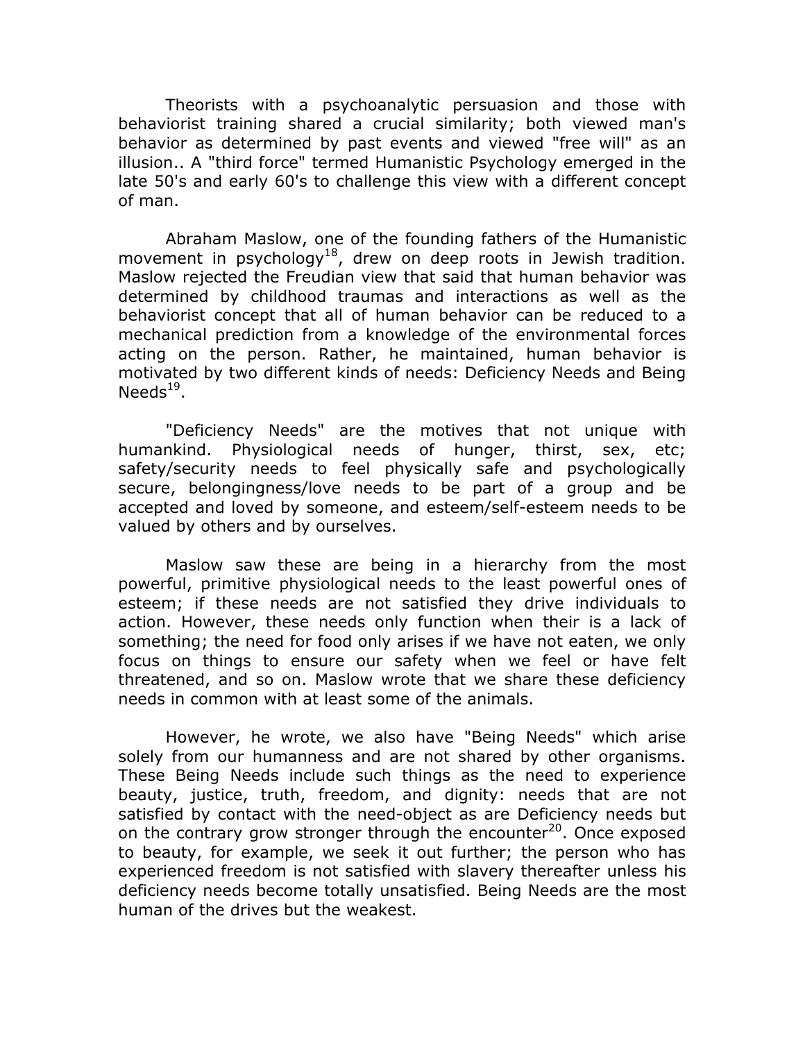Theorists with a psychoanalytic persuasion and those with behaviorist training shared a crucial similarity; both viewed man's behavior as determined by past events and viewed "free will" as an illusion.. A "third force" termed Humanistic Psychology emerged in the late 50's and early 60's to challenge this view with a different concept of man.

Abraham Maslow, one of the founding fathers of the Humanistic movement in psychology<sup>18</sup>, drew on deep roots in Jewish tradition. Maslow rejected the Freudian view that said that human behavior was determined by childhood traumas and interactions as well as the behaviorist concept that all of human behavior can be reduced to a mechanical prediction from a knowledge of the environmental forces acting on the person. Rather, he maintained, human behavior is motivated by two different kinds of needs: Deficiency Needs and Being Needs $^{19}$ .

"Deficiency Needs" are the motives that not unique with humankind. Physiological needs of hunger, thirst, sex, etc; safety/security needs to feel physically safe and psychologically secure, belongingness/love needs to be part of a group and be accepted and loved by someone, and esteem/self-esteem needs to be valued by others and by ourselves.

Maslow saw these are being in a hierarchy from the most powerful, primitive physiological needs to the least powerful ones of esteem; if these needs are not satisfied they drive individuals to action. However, these needs only function when their is a lack of something; the need for food only arises if we have not eaten, we only focus on things to ensure our safety when we feel or have felt threatened, and so on. Maslow wrote that we share these deficiency needs in common with at least some of the animals.

However, he wrote, we also have "Being Needs" which arise solely from our humanness and are not shared by other organisms. These Being Needs include such things as the need to experience beauty, justice, truth, freedom, and dignity: needs that are not satisfied by contact with the need-object as are Deficiency needs but on the contrary grow stronger through the encounter<sup>20</sup>. Once exposed to beauty, for example, we seek it out further; the person who has experienced freedom is not satisfied with slavery thereafter unless his deficiency needs become totally unsatisfied. Being Needs are the most human of the drives but the weakest.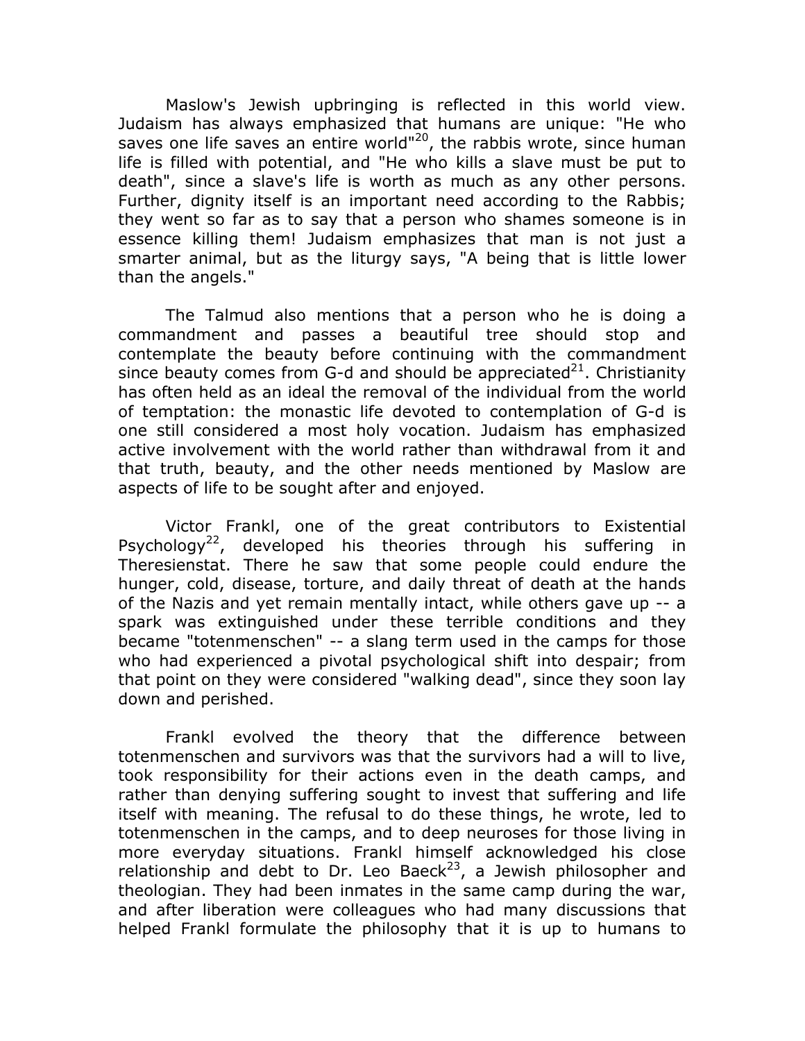Maslow's Jewish upbringing is reflected in this world view. Judaism has always emphasized that humans are unique: "He who saves one life saves an entire world"<sup>20</sup>, the rabbis wrote, since human life is filled with potential, and "He who kills a slave must be put to death", since a slave's life is worth as much as any other persons. Further, dignity itself is an important need according to the Rabbis; they went so far as to say that a person who shames someone is in essence killing them! Judaism emphasizes that man is not just a smarter animal, but as the liturgy says, "A being that is little lower than the angels."

The Talmud also mentions that a person who he is doing a commandment and passes a beautiful tree should stop and contemplate the beauty before continuing with the commandment since beauty comes from G-d and should be appreciated<sup>21</sup>. Christianity has often held as an ideal the removal of the individual from the world of temptation: the monastic life devoted to contemplation of G-d is one still considered a most holy vocation. Judaism has emphasized active involvement with the world rather than withdrawal from it and that truth, beauty, and the other needs mentioned by Maslow are aspects of life to be sought after and enjoyed.

Victor Frankl, one of the great contributors to Existential Psychology<sup>22</sup>, developed his theories through his suffering in Theresienstat. There he saw that some people could endure the hunger, cold, disease, torture, and daily threat of death at the hands of the Nazis and yet remain mentally intact, while others gave up -- a spark was extinguished under these terrible conditions and they became "totenmenschen" -- a slang term used in the camps for those who had experienced a pivotal psychological shift into despair; from that point on they were considered "walking dead", since they soon lay down and perished.

Frankl evolved the theory that the difference between totenmenschen and survivors was that the survivors had a will to live, took responsibility for their actions even in the death camps, and rather than denying suffering sought to invest that suffering and life itself with meaning. The refusal to do these things, he wrote, led to totenmenschen in the camps, and to deep neuroses for those living in more everyday situations. Frankl himself acknowledged his close relationship and debt to Dr. Leo Baeck<sup>23</sup>, a Jewish philosopher and theologian. They had been inmates in the same camp during the war, and after liberation were colleagues who had many discussions that helped Frankl formulate the philosophy that it is up to humans to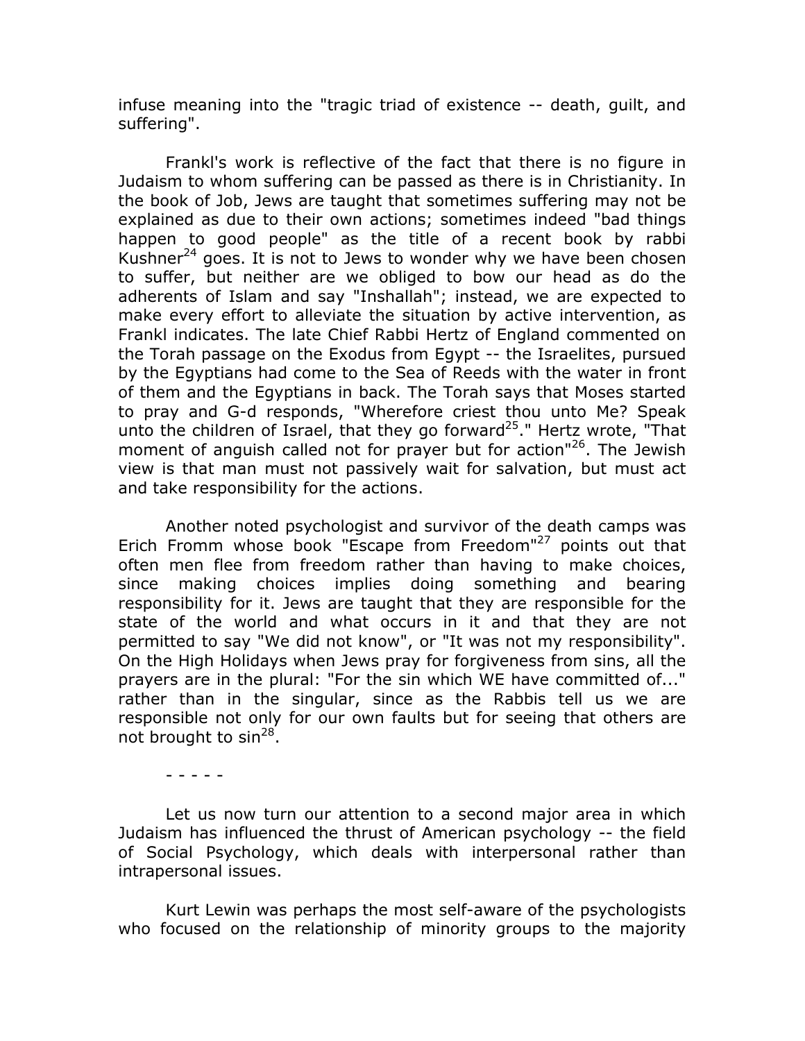infuse meaning into the "tragic triad of existence -- death, quilt, and suffering".

Frankl's work is reflective of the fact that there is no figure in Judaism to whom suffering can be passed as there is in Christianity. In the book of Job, Jews are taught that sometimes suffering may not be explained as due to their own actions; sometimes indeed "bad things happen to good people" as the title of a recent book by rabbi Kushner<sup>24</sup> goes. It is not to Jews to wonder why we have been chosen to suffer, but neither are we obliged to bow our head as do the adherents of Islam and say "Inshallah"; instead, we are expected to make every effort to alleviate the situation by active intervention, as Frankl indicates. The late Chief Rabbi Hertz of England commented on the Torah passage on the Exodus from Egypt -- the Israelites, pursued by the Egyptians had come to the Sea of Reeds with the water in front of them and the Egyptians in back. The Torah says that Moses started to pray and G-d responds, "Wherefore criest thou unto Me? Speak unto the children of Israel, that they go forward<sup>25</sup>." Hertz wrote, "That moment of anguish called not for prayer but for action"<sup>26</sup>. The Jewish view is that man must not passively wait for salvation, but must act and take responsibility for the actions.

Another noted psychologist and survivor of the death camps was Erich Fromm whose book "Escape from Freedom"<sup>27</sup> points out that often men flee from freedom rather than having to make choices, since making choices implies doing something and bearing responsibility for it. Jews are taught that they are responsible for the state of the world and what occurs in it and that they are not permitted to say "We did not know", or "It was not my responsibility". On the High Holidays when Jews pray for forgiveness from sins, all the prayers are in the plural: "For the sin which WE have committed of..." rather than in the singular, since as the Rabbis tell us we are responsible not only for our own faults but for seeing that others are not brought to sin<sup>28</sup>.

Let us now turn our attention to a second major area in which Judaism has influenced the thrust of American psychology -- the field of Social Psychology, which deals with interpersonal rather than intrapersonal issues.

Kurt Lewin was perhaps the most self-aware of the psychologists who focused on the relationship of minority groups to the majority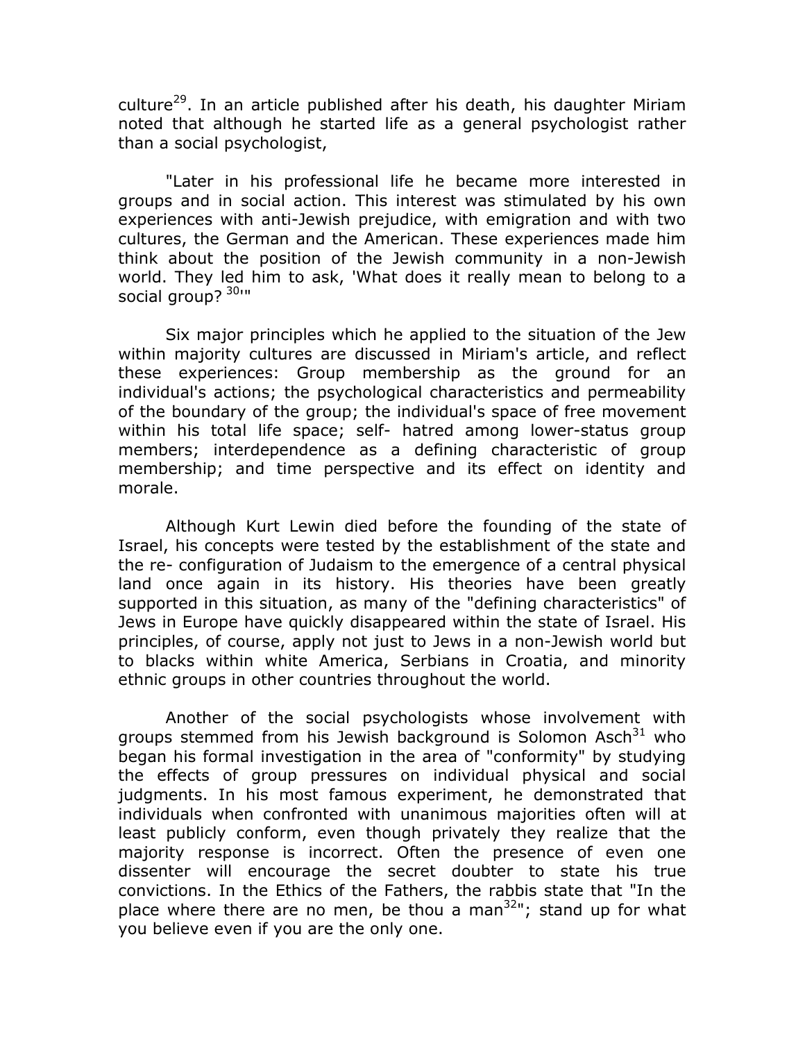culture<sup>29</sup>. In an article published after his death, his daughter Miriam noted that although he started life as a general psychologist rather than a social psychologist,

"Later in his professional life he became more interested in groups and in social action. This interest was stimulated by his own experiences with anti-Jewish prejudice, with emigration and with two cultures, the German and the American. These experiences made him think about the position of the Jewish community in a non-Jewish world. They led him to ask, 'What does it really mean to belong to a social group? 30III

Six major principles which he applied to the situation of the Jew within majority cultures are discussed in Miriam's article, and reflect these experiences: Group membership as the ground for an individual's actions; the psychological characteristics and permeability of the boundary of the group; the individual's space of free movement within his total life space; self- hatred among lower-status group members; interdependence as a defining characteristic of group membership; and time perspective and its effect on identity and morale.

Although Kurt Lewin died before the founding of the state of Israel, his concepts were tested by the establishment of the state and the re- configuration of Judaism to the emergence of a central physical land once again in its history. His theories have been greatly supported in this situation, as many of the "defining characteristics" of Jews in Europe have quickly disappeared within the state of Israel. His principles, of course, apply not just to Jews in a non-Jewish world but to blacks within white America, Serbians in Croatia, and minority ethnic groups in other countries throughout the world.

Another of the social psychologists whose involvement with groups stemmed from his Jewish background is Solomon Asch<sup>31</sup> who began his formal investigation in the area of "conformity" by studying the effects of group pressures on individual physical and social judgments. In his most famous experiment, he demonstrated that individuals when confronted with unanimous majorities often will at least publicly conform, even though privately they realize that the majority response is incorrect. Often the presence of even one dissenter will encourage the secret doubter to state his true convictions. In the Ethics of the Fathers, the rabbis state that "In the place where there are no men, be thou a man<sup>32</sup>"; stand up for what you believe even if you are the only one.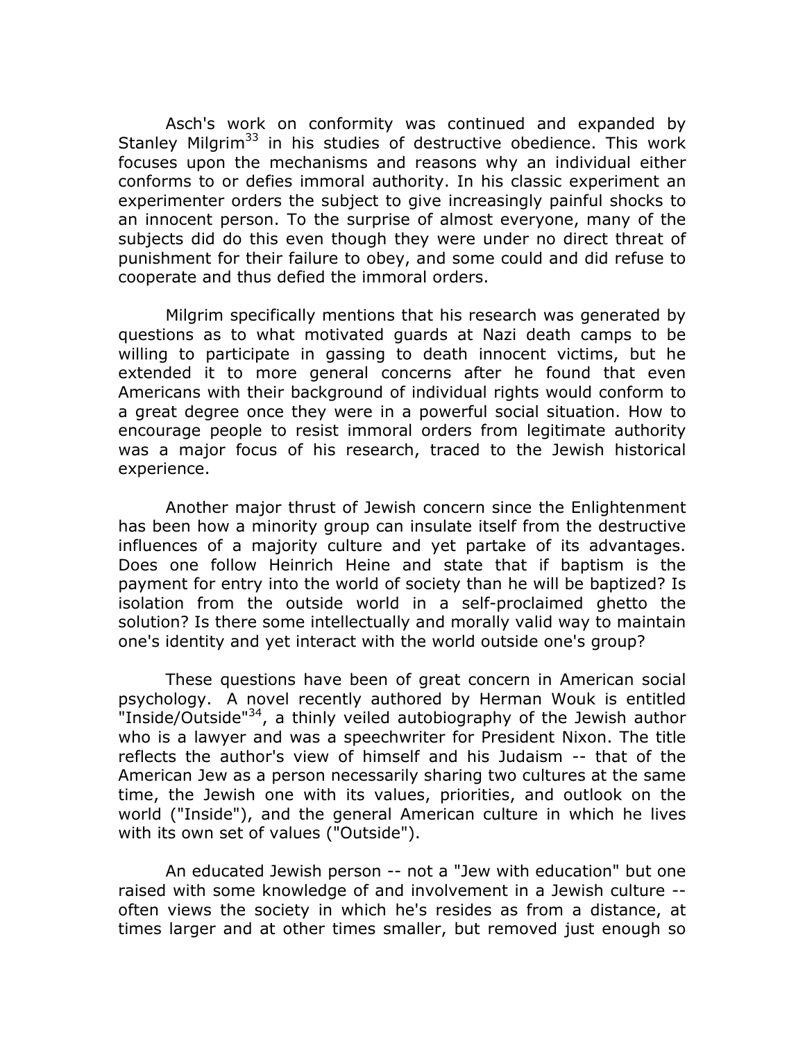Asch's work on conformity was continued and expanded by Stanley Milgrim<sup>33</sup> in his studies of destructive obedience. This work focuses upon the mechanisms and reasons why an individual either conforms to or defies immoral authority. In his classic experiment an experimenter orders the subject to give increasingly painful shocks to an innocent person. To the surprise of almost everyone, many of the subjects did do this even though they were under no direct threat of punishment for their failure to obey, and some could and did refuse to cooperate and thus defied the immoral orders.

Milgrim specifically mentions that his research was generated by questions as to what motivated quards at Nazi death camps to be willing to participate in gassing to death innocent victims, but he extended it to more general concerns after he found that even Americans with their background of individual rights would conform to a great degree once they were in a powerful social situation. How to encourage people to resist immoral orders from legitimate authority was a major focus of his research, traced to the Jewish historical experience.

Another major thrust of Jewish concern since the Enlightenment has been how a minority group can insulate itself from the destructive influences of a majority culture and yet partake of its advantages. Does one follow Heinrich Heine and state that if baptism is the payment for entry into the world of society than he will be baptized? Is isolation from the outside world in a self-proclaimed ghetto the solution? Is there some intellectually and morally valid way to maintain one's identity and yet interact with the world outside one's group?

These questions have been of great concern in American social psychology. A novel recently authored by Herman Wouk is entitled "Inside/Outside"<sup>34</sup>, a thinly veiled autobiography of the Jewish author who is a lawyer and was a speechwriter for President Nixon. The title reflects the author's view of himself and his Judaism -- that of the American Jew as a person necessarily sharing two cultures at the same time, the Jewish one with its values, priorities, and outlook on the world ("Inside"), and the general American culture in which he lives with its own set of values ("Outside").

An educated Jewish person -- not a "Jew with education" but one raised with some knowledge of and involvement in a Jewish culture -often views the society in which he's resides as from a distance, at times larger and at other times smaller, but removed just enough so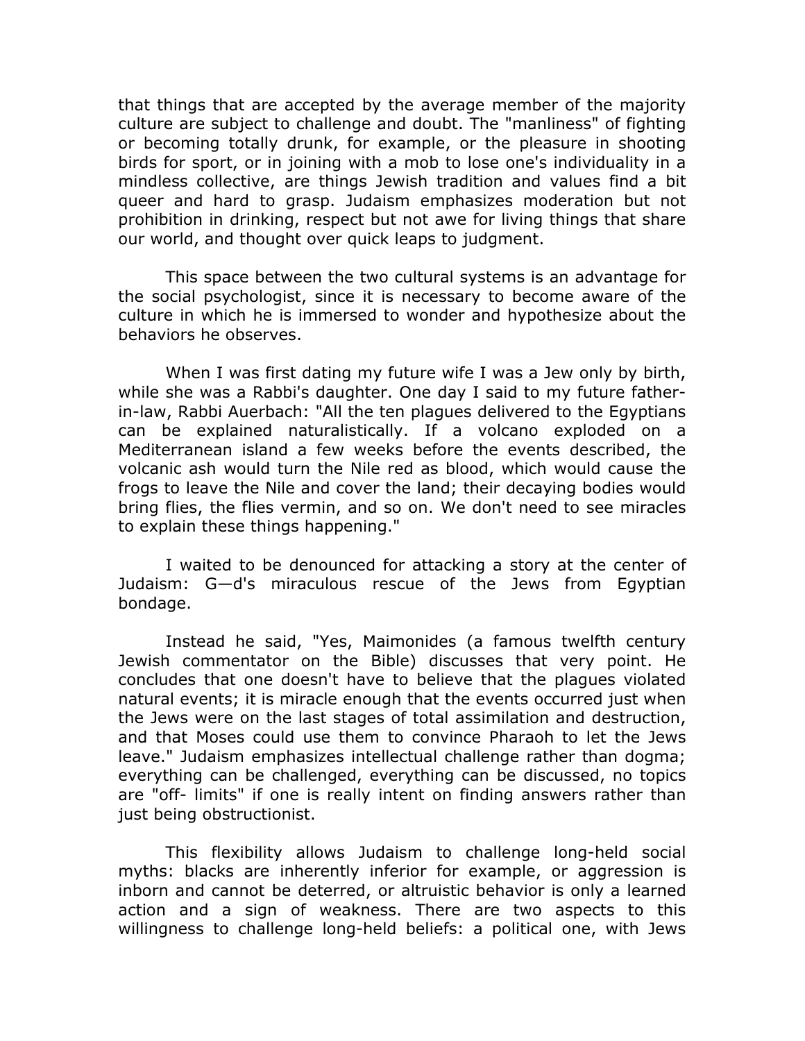that things that are accepted by the average member of the majority culture are subject to challenge and doubt. The "manliness" of fighting or becoming totally drunk, for example, or the pleasure in shooting birds for sport, or in joining with a mob to lose one's individuality in a mindless collective, are things Jewish tradition and values find a bit queer and hard to grasp. Judaism emphasizes moderation but not prohibition in drinking, respect but not awe for living things that share our world, and thought over quick leaps to judgment.

This space between the two cultural systems is an advantage for the social psychologist, since it is necessary to become aware of the culture in which he is immersed to wonder and hypothesize about the behaviors he observes.

When I was first dating my future wife I was a Jew only by birth, while she was a Rabbi's daughter. One day I said to my future fatherin-law, Rabbi Auerbach: "All the ten plagues delivered to the Egyptians can be explained naturalistically. If a volcano exploded on a Mediterranean island a few weeks before the events described, the volcanic ash would turn the Nile red as blood, which would cause the frogs to leave the Nile and cover the land; their decaying bodies would bring flies, the flies vermin, and so on. We don't need to see miracles to explain these things happening."

I waited to be denounced for attacking a story at the center of Judaism: G-d's miraculous rescue of the Jews from Egyptian bondage.

Instead he said, "Yes, Maimonides (a famous twelfth century Jewish commentator on the Bible) discusses that very point. He concludes that one doesn't have to believe that the plagues violated natural events; it is miracle enough that the events occurred just when the Jews were on the last stages of total assimilation and destruction, and that Moses could use them to convince Pharaoh to let the Jews leave." Judaism emphasizes intellectual challenge rather than dogma; everything can be challenged, everything can be discussed, no topics are "off- limits" if one is really intent on finding answers rather than just being obstructionist.

This flexibility allows Judaism to challenge long-held social myths: blacks are inherently inferior for example, or aggression is inborn and cannot be deterred, or altruistic behavior is only a learned action and a sign of weakness. There are two aspects to this willingness to challenge long-held beliefs: a political one, with Jews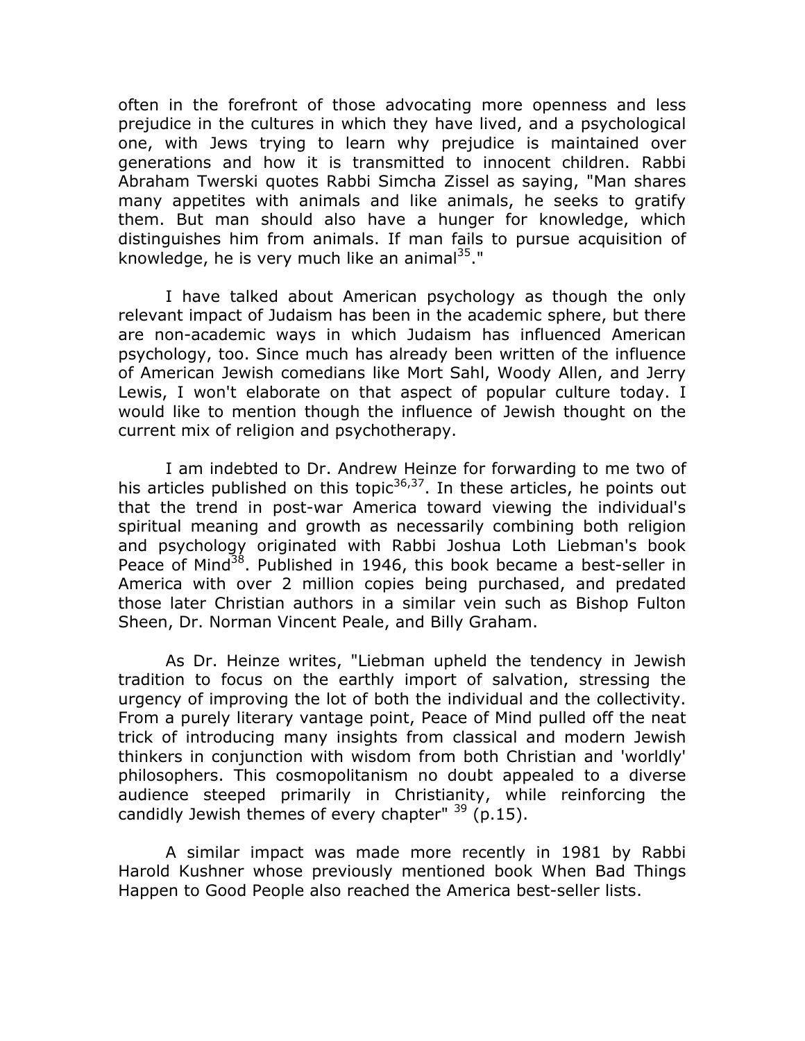often in the forefront of those advocating more openness and less prejudice in the cultures in which they have lived, and a psychological one, with Jews trying to learn why prejudice is maintained over generations and how it is transmitted to innocent children. Rabbi Abraham Twerski guotes Rabbi Simcha Zissel as saying, "Man shares many appetites with animals and like animals, he seeks to gratify them. But man should also have a hunger for knowledge, which distinguishes him from animals. If man fails to pursue acquisition of knowledge, he is very much like an animal<sup>35</sup>."

I have talked about American psychology as though the only relevant impact of Judaism has been in the academic sphere, but there are non-academic ways in which Judaism has influenced American psychology, too. Since much has already been written of the influence of American Jewish comedians like Mort Sahl, Woody Allen, and Jerry Lewis, I won't elaborate on that aspect of popular culture today. I would like to mention though the influence of Jewish thought on the current mix of religion and psychotherapy.

I am indebted to Dr. Andrew Heinze for forwarding to me two of his articles published on this topic<sup>36,37</sup>. In these articles, he points out that the trend in post-war America toward viewing the individual's spiritual meaning and growth as necessarily combining both religion and psychology originated with Rabbi Joshua Loth Liebman's book Peace of Mind<sup>38</sup>. Published in 1946, this book became a best-seller in America with over 2 million copies being purchased, and predated those later Christian authors in a similar vein such as Bishop Fulton Sheen, Dr. Norman Vincent Peale, and Billy Graham.

As Dr. Heinze writes, "Liebman upheld the tendency in Jewish tradition to focus on the earthly import of salvation, stressing the urgency of improving the lot of both the individual and the collectivity. From a purely literary vantage point, Peace of Mind pulled off the neat trick of introducing many insights from classical and modern Jewish thinkers in conjunction with wisdom from both Christian and 'worldly' philosophers. This cosmopolitanism no doubt appealed to a diverse audience steeped primarily in Christianity, while reinforcing the candidly Jewish themes of every chapter"  $39$  (p.15).

A similar impact was made more recently in 1981 by Rabbi Harold Kushner whose previously mentioned book When Bad Things Happen to Good People also reached the America best-seller lists.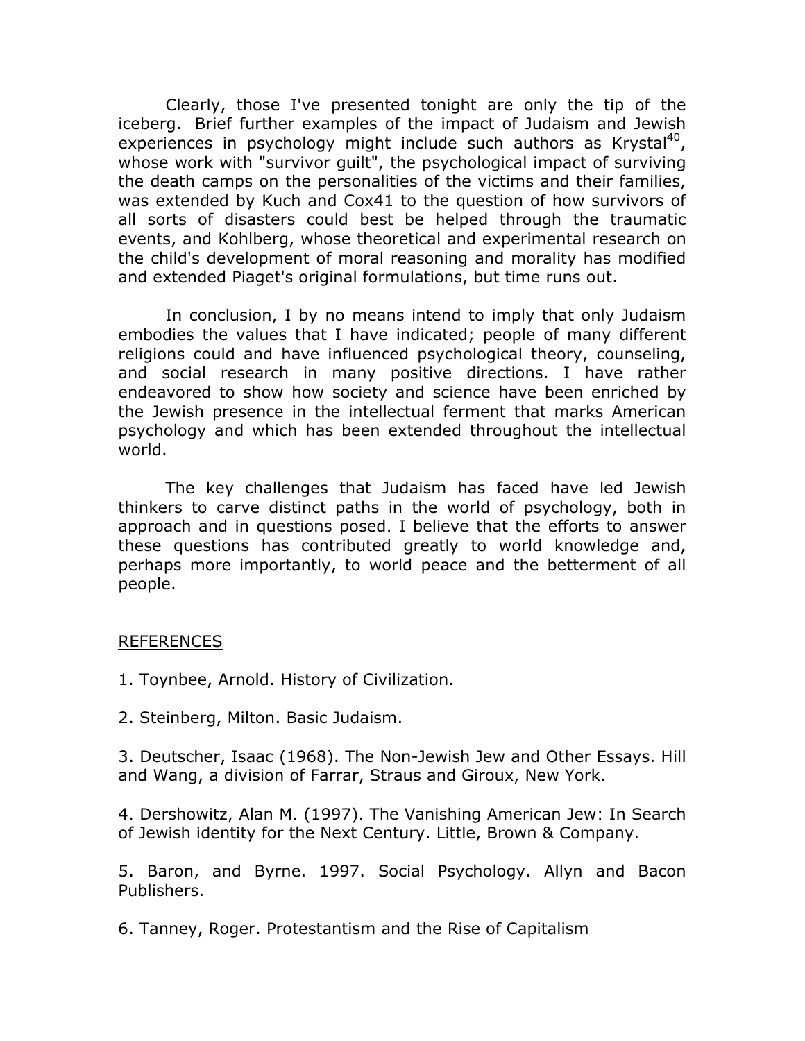Clearly, those I've presented tonight are only the tip of the iceberg. Brief further examples of the impact of Judaism and Jewish experiences in psychology might include such authors as Krystal<sup>40</sup>, whose work with "survivor quilt", the psychological impact of surviving the death camps on the personalities of the victims and their families, was extended by Kuch and Cox41 to the question of how survivors of all sorts of disasters could best be helped through the traumatic events, and Kohlberg, whose theoretical and experimental research on the child's development of moral reasoning and morality has modified and extended Piaget's original formulations, but time runs out.

In conclusion, I by no means intend to imply that only Judaism embodies the values that I have indicated; people of many different religions could and have influenced psychological theory, counseling, and social research in many positive directions. I have rather endeavored to show how society and science have been enriched by the Jewish presence in the intellectual ferment that marks American psychology and which has been extended throughout the intellectual world.

The key challenges that Judaism has faced have led Jewish thinkers to carve distinct paths in the world of psychology, both in approach and in questions posed. I believe that the efforts to answer these questions has contributed greatly to world knowledge and, perhaps more importantly, to world peace and the betterment of all people.

#### **REFERENCES**

- 1. Toynbee, Arnold. History of Civilization.
- 2. Steinberg, Milton. Basic Judaism.

3. Deutscher, Isaac (1968). The Non-Jewish Jew and Other Essays. Hill and Wang, a division of Farrar, Straus and Giroux, New York.

4. Dershowitz, Alan M. (1997). The Vanishing American Jew: In Search of Jewish identity for the Next Century. Little, Brown & Company.

5. Baron, and Byrne. 1997. Social Psychology. Allyn and Bacon Publishers.

6. Tanney, Roger. Protestantism and the Rise of Capitalism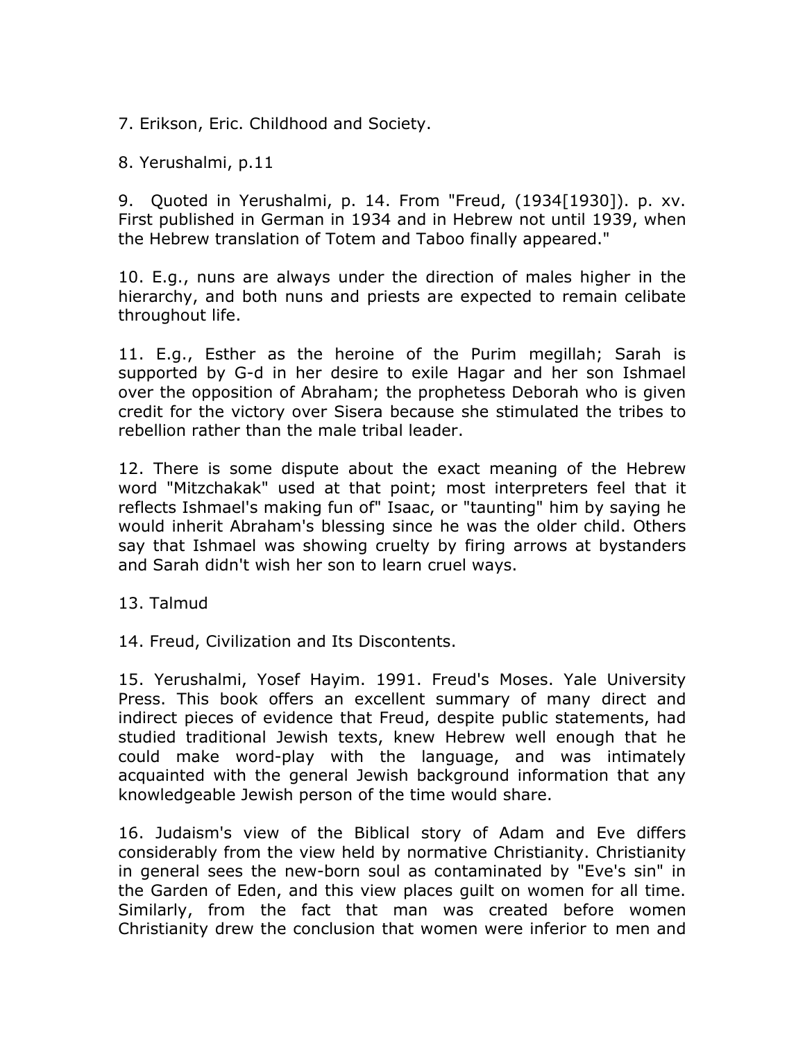7. Erikson, Eric. Childhood and Society.

8. Yerushalmi, p.11

9. Quoted in Yerushalmi, p. 14. From "Freud, (1934[1930]). p. xv. First published in German in 1934 and in Hebrew not until 1939, when the Hebrew translation of Totem and Taboo finally appeared."

10. E.g., nuns are always under the direction of males higher in the hierarchy, and both nuns and priests are expected to remain celibate throughout life.

11. E.g., Esther as the heroine of the Purim megillah; Sarah is supported by G-d in her desire to exile Hagar and her son Ishmael over the opposition of Abraham; the prophetess Deborah who is given credit for the victory over Sisera because she stimulated the tribes to rebellion rather than the male tribal leader.

12. There is some dispute about the exact meaning of the Hebrew word "Mitzchakak" used at that point; most interpreters feel that it reflects Ishmael's making fun of" Isaac, or "taunting" him by saying he would inherit Abraham's blessing since he was the older child. Others say that Ishmael was showing cruelty by firing arrows at bystanders and Sarah didn't wish her son to learn cruel ways.

13. Talmud

14. Freud, Civilization and Its Discontents.

15. Yerushalmi, Yosef Hayim. 1991. Freud's Moses. Yale University Press. This book offers an excellent summary of many direct and indirect pieces of evidence that Freud, despite public statements, had studied traditional Jewish texts, knew Hebrew well enough that he could make word-play with the language, and was intimately acquainted with the general Jewish background information that any knowledgeable Jewish person of the time would share.

16. Judaism's view of the Biblical story of Adam and Eve differs considerably from the view held by normative Christianity. Christianity in general sees the new-born soul as contaminated by "Eve's sin" in the Garden of Eden, and this view places quilt on women for all time. Similarly, from the fact that man was created before women Christianity drew the conclusion that women were inferior to men and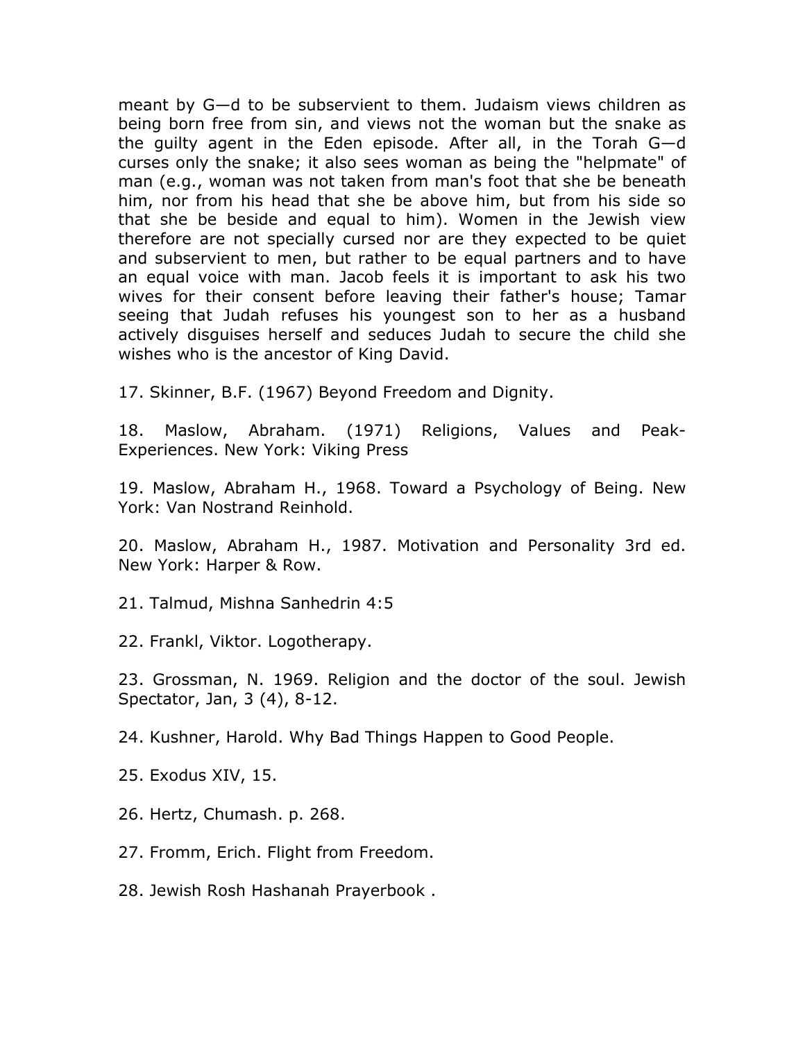meant by G-d to be subservient to them. Judaism views children as being born free from sin, and views not the woman but the snake as the quilty agent in the Eden episode. After all, in the Torah G—d curses only the snake; it also sees woman as being the "helpmate" of man (e.g., woman was not taken from man's foot that she be beneath him, nor from his head that she be above him, but from his side so that she be beside and equal to him). Women in the Jewish view therefore are not specially cursed nor are they expected to be quiet and subservient to men, but rather to be equal partners and to have an equal voice with man. Jacob feels it is important to ask his two wives for their consent before leaving their father's house; Tamar seeing that Judah refuses his youngest son to her as a husband actively disquises herself and seduces Judah to secure the child she wishes who is the ancestor of King David.

17. Skinner, B.F. (1967) Beyond Freedom and Dignity.

18. Maslow, Abraham. (1971) Religions, Values and Peak-Experiences. New York: Viking Press

19. Maslow, Abraham H., 1968. Toward a Psychology of Being. New York: Van Nostrand Reinhold.

20. Maslow, Abraham H., 1987. Motivation and Personality 3rd ed. New York: Harper & Row.

21. Talmud, Mishna Sanhedrin 4:5

22. Frankl, Viktor. Logotherapy.

23. Grossman, N. 1969. Religion and the doctor of the soul. Jewish Spectator, Jan, 3 (4), 8-12.

24. Kushner, Harold. Why Bad Things Happen to Good People.

25. Exodus XIV, 15.

26. Hertz, Chumash. p. 268.

27. Fromm, Erich. Flight from Freedom.

28. Jewish Rosh Hashanah Prayerbook.